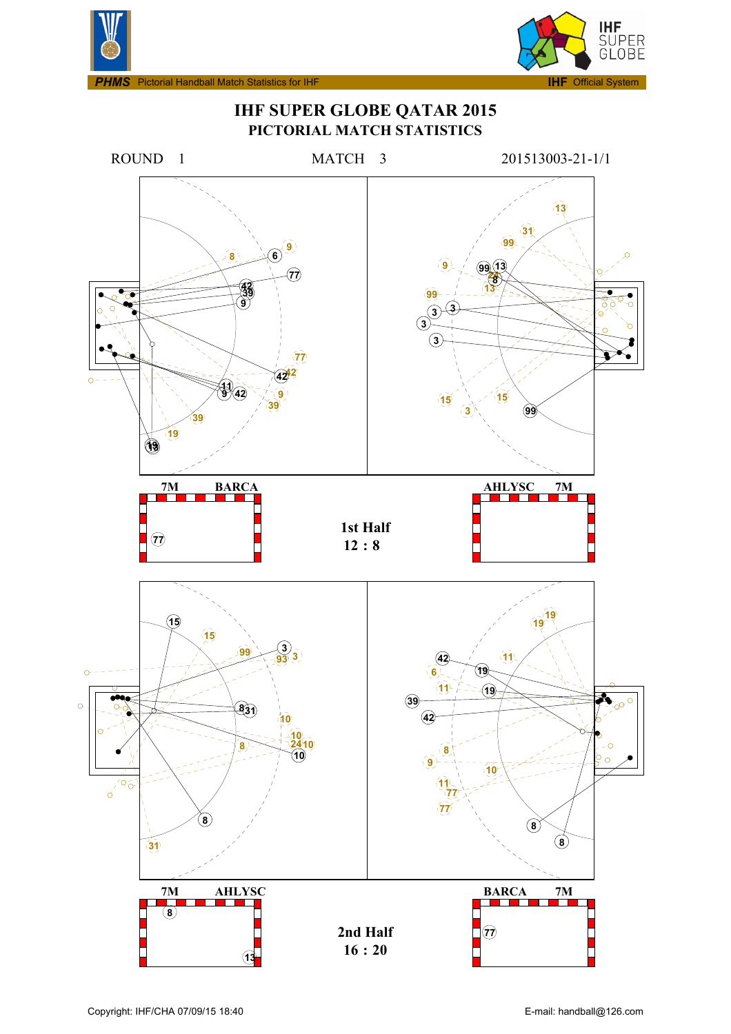



**IHF SUPER GLOBE QATAR 2015 PICTORIAL MATCH STATISTICS**

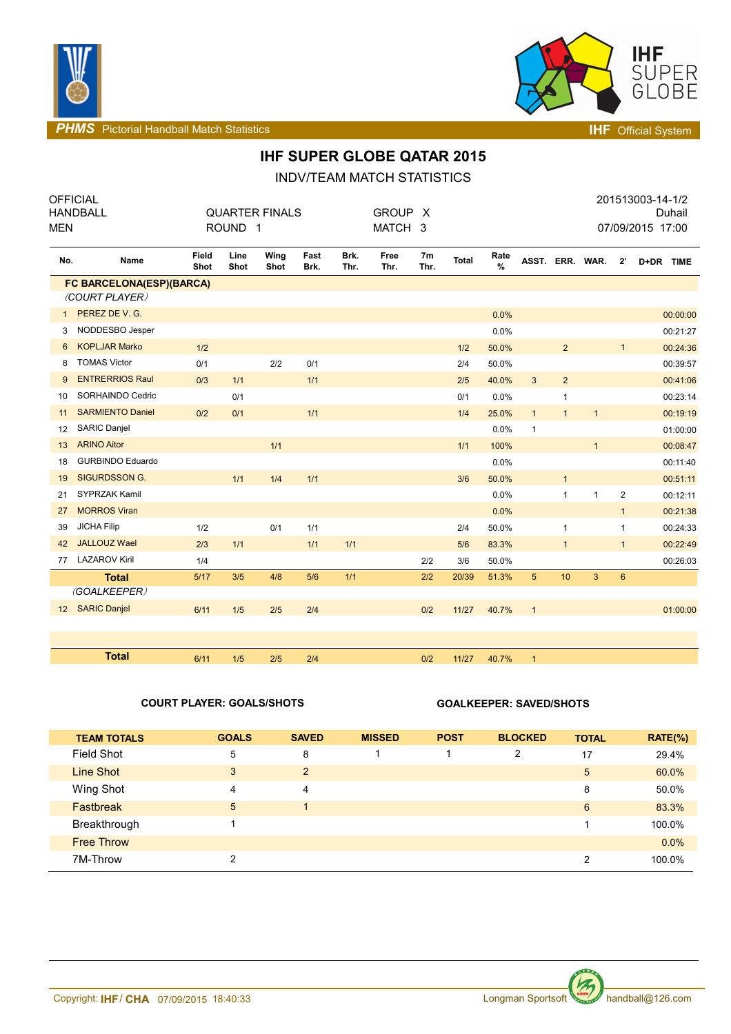



**PHMS** Pictorial Handball Match Statistics **INF** Official System

# **IHF SUPER GLOBE QATAR 2015**

INDV/TEAM MATCH STATISTICS

| <b>MEN</b> | <b>OFFICIAL</b><br><b>HANDBALL</b> |               | ROUND <sub>1</sub> | <b>QUARTER FINALS</b> |              |              | <b>GROUP</b><br>MATCH 3 | $\mathsf{X}$           |              |              |                |                 |              |                | 201513003-14-1/2<br>Duhail<br>07/09/2015 17:00 |
|------------|------------------------------------|---------------|--------------------|-----------------------|--------------|--------------|-------------------------|------------------------|--------------|--------------|----------------|-----------------|--------------|----------------|------------------------------------------------|
| No.        | <b>Name</b>                        | Field<br>Shot | Line<br>Shot       | Wing<br>Shot          | Fast<br>Brk. | Brk.<br>Thr. | Free<br>Thr.            | 7 <sub>m</sub><br>Thr. | <b>Total</b> | Rate<br>$\%$ |                | ASST. ERR. WAR. |              | $2^{\prime}$   | D+DR TIME                                      |
|            | FC BARCELONA(ESP)(BARCA)           |               |                    |                       |              |              |                         |                        |              |              |                |                 |              |                |                                                |
|            | (COURT PLAYER)                     |               |                    |                       |              |              |                         |                        |              |              |                |                 |              |                |                                                |
| 1          | PEREZ DE V. G.                     |               |                    |                       |              |              |                         |                        |              | 0.0%         |                |                 |              |                | 00:00:00                                       |
| 3          | NODDESBO Jesper                    |               |                    |                       |              |              |                         |                        |              | 0.0%         |                |                 |              |                | 00:21:27                                       |
| 6          | <b>KOPLJAR Marko</b>               | 1/2           |                    |                       |              |              |                         |                        | 1/2          | 50.0%        |                | $\overline{2}$  |              | 1              | 00:24:36                                       |
| 8          | <b>TOMAS Victor</b>                | 0/1           |                    | 2/2                   | 0/1          |              |                         |                        | 2/4          | 50.0%        |                |                 |              |                | 00:39:57                                       |
| 9          | <b>ENTRERRIOS Raul</b>             | 0/3           | 1/1                |                       | 1/1          |              |                         |                        | 2/5          | 40.0%        | $\mathbf{3}$   | $\overline{2}$  |              |                | 00:41:06                                       |
| 10         | SORHAINDO Cedric                   |               | 0/1                |                       |              |              |                         |                        | 0/1          | 0.0%         |                | 1               |              |                | 00:23:14                                       |
| 11         | <b>SARMIENTO Daniel</b>            | 0/2           | 0/1                |                       | 1/1          |              |                         |                        | 1/4          | 25.0%        | $\mathbf{1}$   | $\mathbf{1}$    | $\mathbf{1}$ |                | 00:19:19                                       |
| 12         | <b>SARIC Daniel</b>                |               |                    |                       |              |              |                         |                        |              | 0.0%         | $\mathbf{1}$   |                 |              |                | 01:00:00                                       |
| 13         | <b>ARINO Aitor</b>                 |               |                    | 1/1                   |              |              |                         |                        | 1/1          | 100%         |                |                 | $\mathbf{1}$ |                | 00:08:47                                       |
| 18         | <b>GURBINDO Eduardo</b>            |               |                    |                       |              |              |                         |                        |              | 0.0%         |                |                 |              |                | 00:11:40                                       |
| 19         | <b>SIGURDSSON G.</b>               |               | 1/1                | 1/4                   | 1/1          |              |                         |                        | 3/6          | 50.0%        |                | $\mathbf{1}$    |              |                | 00:51:11                                       |
| 21         | SYPRZAK Kamil                      |               |                    |                       |              |              |                         |                        |              | 0.0%         |                | $\mathbf{1}$    | $\mathbf{1}$ | $\overline{c}$ | 00:12:11                                       |
| 27         | <b>MORROS Viran</b>                |               |                    |                       |              |              |                         |                        |              | 0.0%         |                |                 |              | 1              | 00:21:38                                       |
| 39         | <b>JICHA Filip</b>                 | 1/2           |                    | 0/1                   | 1/1          |              |                         |                        | 2/4          | 50.0%        |                | $\mathbf{1}$    |              | 1              | 00:24:33                                       |
| 42         | <b>JALLOUZ Wael</b>                | 2/3           | 1/1                |                       | 1/1          | 1/1          |                         |                        | 5/6          | 83.3%        |                | $\mathbf{1}$    |              | 1              | 00:22:49                                       |
| 77         | <b>LAZAROV Kiril</b>               | 1/4           |                    |                       |              |              |                         | 2/2                    | 3/6          | 50.0%        |                |                 |              |                | 00:26:03                                       |
|            | <b>Total</b>                       | 5/17          | 3/5                | 4/8                   | 5/6          | 1/1          |                         | 2/2                    | 20/39        | 51.3%        | 5              | 10              | 3            | $6\phantom{a}$ |                                                |
|            | (GOALKEEPER)                       |               |                    |                       |              |              |                         |                        |              |              |                |                 |              |                |                                                |
|            | 12 SARIC Danjel                    | 6/11          | 1/5                | 2/5                   | 2/4          |              |                         | 0/2                    | 11/27        | 40.7%        | $\overline{1}$ |                 |              |                | 01:00:00                                       |
|            |                                    |               |                    |                       |              |              |                         |                        |              |              |                |                 |              |                |                                                |
|            |                                    |               |                    |                       |              |              |                         |                        |              |              |                |                 |              |                |                                                |
|            | <b>Total</b>                       | 6/11          | 1/5                | 2/5                   | 2/4          |              |                         | 0/2                    | 11/27        | 40.7%        | $\mathbf{1}$   |                 |              |                |                                                |

### **COURT PLAYER: GOALS/SHOTS GOALKEEPER: SAVED/SHOTS**

| <b>TEAM TOTALS</b> | <b>GOALS</b> | <b>SAVED</b> | <b>MISSED</b> | <b>POST</b> | <b>BLOCKED</b> | <b>TOTAL</b> | $RATE(\%)$ |
|--------------------|--------------|--------------|---------------|-------------|----------------|--------------|------------|
| Field Shot         | 5            | 8            |               |             | 2              | 17           | 29.4%      |
| Line Shot          | 3            | 2            |               |             |                | 5            | 60.0%      |
| Wing Shot          | 4            | 4            |               |             |                | 8            | 50.0%      |
| <b>Fastbreak</b>   | 5            |              |               |             |                | 6            | 83.3%      |
| Breakthrough       |              |              |               |             |                |              | 100.0%     |
| <b>Free Throw</b>  |              |              |               |             |                |              | $0.0\%$    |
| 7M-Throw           | 2            |              |               |             |                | 2            | 100.0%     |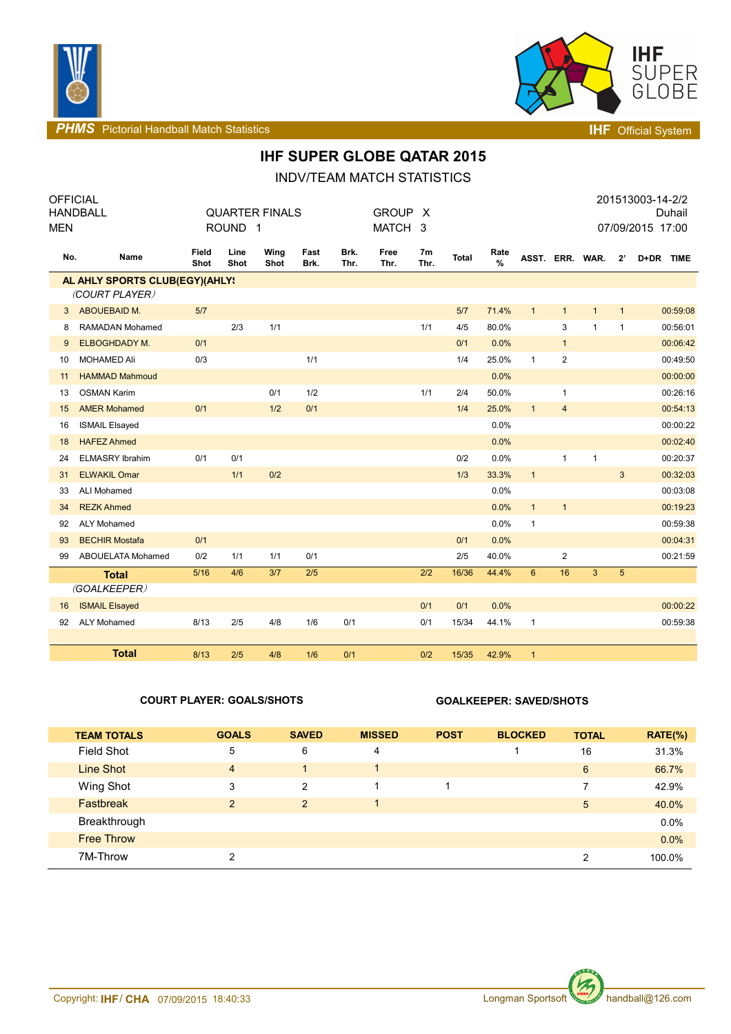



**PHMS** Pictorial Handball Match Statistics **Intervalse and Contract Contract Contract Contract Contract Contract Contract Contract Contract Contract Contract Contract Contract Contract Contract Contract Contract Contract C** 

## **IHF SUPER GLOBE QATAR 2015**

INDV/TEAM MATCH STATISTICS

| OFFICIAL                       |                        |                       |                    |              |              |              |              |                        |              |                       |              |                |                 |              | 201513003-14-2/2 |
|--------------------------------|------------------------|-----------------------|--------------------|--------------|--------------|--------------|--------------|------------------------|--------------|-----------------------|--------------|----------------|-----------------|--------------|------------------|
|                                | <b>HANDBALL</b>        | <b>QUARTER FINALS</b> |                    |              |              |              | <b>GROUP</b> |                        |              |                       |              |                | Duhail          |              |                  |
| <b>MEN</b>                     |                        |                       | ROUND <sub>1</sub> |              |              |              | MATCH 3      |                        |              |                       |              |                |                 |              | 07/09/2015 17:00 |
| No.                            | Name                   | Field<br>Shot         | Line<br>Shot       | Wing<br>Shot | Fast<br>Brk. | Brk.<br>Thr. | Free<br>Thr. | 7 <sub>m</sub><br>Thr. | <b>Total</b> | Rate<br>$\frac{9}{6}$ |              |                | ASST. ERR. WAR. | $2^{\prime}$ | D+DR TIME        |
| AL AHLY SPORTS CLUB(EGY)(AHLY! |                        |                       |                    |              |              |              |              |                        |              |                       |              |                |                 |              |                  |
|                                | (COURT PLAYER)         |                       |                    |              |              |              |              |                        |              |                       |              |                |                 |              |                  |
| 3                              | ABOUEBAID M.           | 5/7                   |                    |              |              |              |              |                        | 5/7          | 71.4%                 | $\mathbf{1}$ | $\mathbf{1}$   | $\mathbf{1}$    | $\mathbf{1}$ | 00:59:08         |
| 8                              | <b>RAMADAN Mohamed</b> |                       | 2/3                | 1/1          |              |              |              | 1/1                    | 4/5          | 80.0%                 |              | 3              | $\mathbf{1}$    | $\mathbf{1}$ | 00:56:01         |
| 9                              | ELBOGHDADY M.          | 0/1                   |                    |              |              |              |              |                        | 0/1          | 0.0%                  |              | $\mathbf{1}$   |                 |              | 00:06:42         |
| 10                             | <b>MOHAMED Ali</b>     | 0/3                   |                    |              | 1/1          |              |              |                        | 1/4          | 25.0%                 | $\mathbf{1}$ | $\sqrt{2}$     |                 |              | 00:49:50         |
| 11                             | <b>HAMMAD Mahmoud</b>  |                       |                    |              |              |              |              |                        |              | 0.0%                  |              |                |                 |              | 00:00:00         |
| 13                             | <b>OSMAN Karim</b>     |                       |                    | 0/1          | 1/2          |              |              | 1/1                    | 2/4          | 50.0%                 |              | $\mathbf{1}$   |                 |              | 00:26:16         |
| 15                             | <b>AMER Mohamed</b>    | 0/1                   |                    | 1/2          | 0/1          |              |              |                        | 1/4          | 25.0%                 | $\mathbf{1}$ | $\overline{4}$ |                 |              | 00:54:13         |
| 16                             | <b>ISMAIL Elsayed</b>  |                       |                    |              |              |              |              |                        |              | 0.0%                  |              |                |                 |              | 00:00:22         |
| 18                             | <b>HAFEZ Ahmed</b>     |                       |                    |              |              |              |              |                        |              | 0.0%                  |              |                |                 |              | 00:02:40         |
| 24                             | <b>ELMASRY Ibrahim</b> | 0/1                   | 0/1                |              |              |              |              |                        | 0/2          | 0.0%                  |              | $\mathbf{1}$   | $\mathbf{1}$    |              | 00:20:37         |
| 31                             | <b>ELWAKIL Omar</b>    |                       | 1/1                | 0/2          |              |              |              |                        | 1/3          | 33.3%                 | $\mathbf{1}$ |                |                 | 3            | 00:32:03         |
| 33                             | <b>ALI Mohamed</b>     |                       |                    |              |              |              |              |                        |              | 0.0%                  |              |                |                 |              | 00:03:08         |
| 34                             | <b>REZK Ahmed</b>      |                       |                    |              |              |              |              |                        |              | 0.0%                  | 1            | $\mathbf{1}$   |                 |              | 00:19:23         |
| 92                             | <b>ALY Mohamed</b>     |                       |                    |              |              |              |              |                        |              | 0.0%                  | $\mathbf{1}$ |                |                 |              | 00:59:38         |
| 93                             | <b>BECHIR Mostafa</b>  | 0/1                   |                    |              |              |              |              |                        | 0/1          | 0.0%                  |              |                |                 |              | 00:04:31         |
| 99                             | ABOUELATA Mohamed      | 0/2                   | 1/1                | 1/1          | 0/1          |              |              |                        | 2/5          | 40.0%                 |              | $\overline{c}$ |                 |              | 00:21:59         |
|                                | <b>Total</b>           | 5/16                  | 4/6                | 3/7          | 2/5          |              |              | 2/2                    | 16/36        | 44.4%                 | $6^{\circ}$  | 16             | 3               | 5            |                  |
|                                | (GOALKEEPER)           |                       |                    |              |              |              |              |                        |              |                       |              |                |                 |              |                  |
| 16                             | <b>ISMAIL Elsayed</b>  |                       |                    |              |              |              |              | 0/1                    | 0/1          | 0.0%                  |              |                |                 |              | 00:00:22         |
| 92                             | <b>ALY Mohamed</b>     | 8/13                  | 2/5                | 4/8          | 1/6          | 0/1          |              | 0/1                    | 15/34        | 44.1%                 | 1            |                |                 |              | 00:59:38         |
|                                |                        |                       |                    |              |              |              |              |                        |              |                       |              |                |                 |              |                  |
|                                | <b>Total</b>           | 8/13                  | 2/5                | 4/8          | 1/6          | 0/1          |              | 0/2                    | 15/35        | 42.9%                 | $\mathbf{1}$ |                |                 |              |                  |

### **COURT PLAYER: GOALS/SHOTS GOALKEEPER: SAVED/SHOTS**

| <b>TEAM TOTALS</b> | <b>GOALS</b>   | <b>SAVED</b>   | <b>MISSED</b> | <b>POST</b> | <b>BLOCKED</b> | <b>TOTAL</b>   | $RATE(\%)$ |
|--------------------|----------------|----------------|---------------|-------------|----------------|----------------|------------|
| <b>Field Shot</b>  | 5              | 6              | 4             |             |                | 16             | 31.3%      |
| <b>Line Shot</b>   | $\overline{4}$ | $\overline{1}$ |               |             |                | $6\phantom{1}$ | 66.7%      |
| Wing Shot          | 3              | 2              |               |             |                | 7              | 42.9%      |
| Fastbreak          | $\mathcal{P}$  | 2              |               |             |                | 5              | 40.0%      |
| Breakthrough       |                |                |               |             |                |                | 0.0%       |
| <b>Free Throw</b>  |                |                |               |             |                |                | 0.0%       |
| 7M-Throw           | ົ              |                |               |             |                | 2              | 100.0%     |